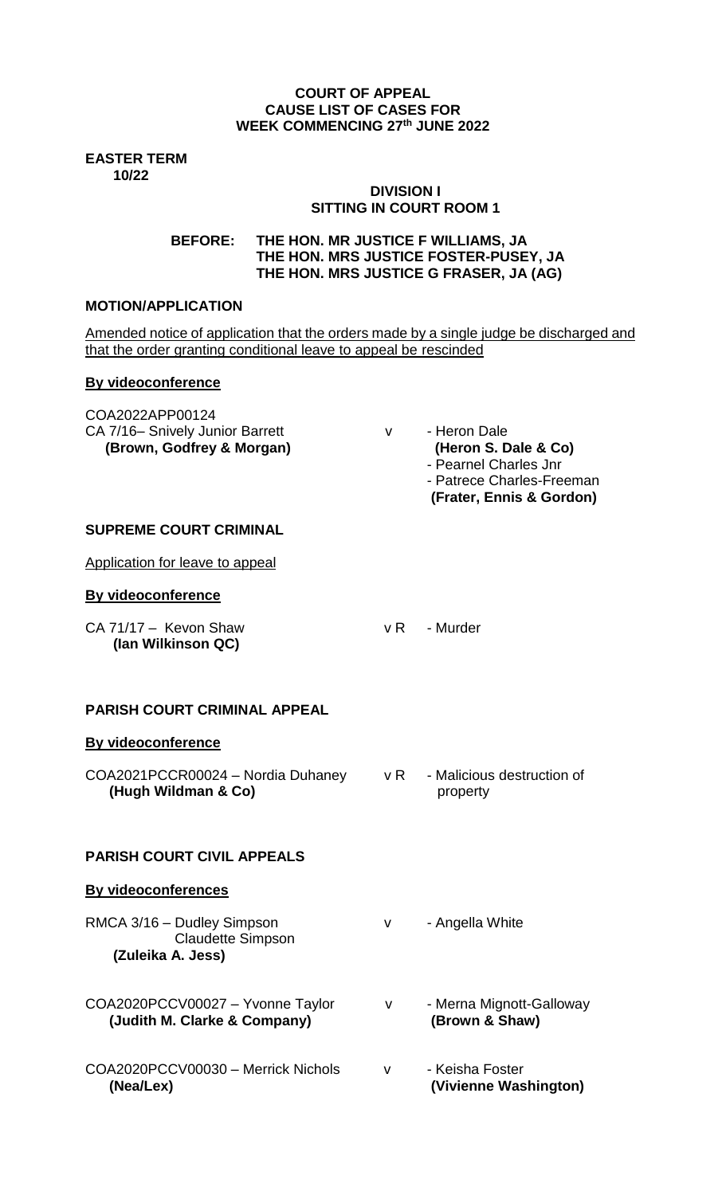#### **COURT OF APPEAL CAUSE LIST OF CASES FOR WEEK COMMENCING 27th JUNE 2022**

**EASTER TERM 10/22**

# **DIVISION I SITTING IN COURT ROOM 1**

**BEFORE: THE HON. MR JUSTICE F WILLIAMS, JA THE HON. MRS JUSTICE FOSTER-PUSEY, JA THE HON. MRS JUSTICE G FRASER, JA (AG)**

### **MOTION/APPLICATION**

Amended notice of application that the orders made by a single judge be discharged and that the order granting conditional leave to appeal be rescinded

### **By videoconference**

COA2022APP00124 CA 7/16- Snively Junior Barrett v - Heron Dale

- **(Brown, Godfrey & Morgan) (Heron S. Dale & Co)** - Pearnel Charles Jnr - Patrece Charles-Freeman
	- **(Frater, Ennis & Gordon)**

### **SUPREME COURT CRIMINAL**

Application for leave to appeal

### **By videoconference**

CA 71/17 – Kevon Shaw v R - Murder **(Ian Wilkinson QC)**

# **PARISH COURT CRIMINAL APPEAL**

# **By videoconference**

COA2021PCCR00024 – Nordia Duhaney v R - Malicious destruction of  **(Hugh Wildman & Co)** property

# **PARISH COURT CIVIL APPEALS**

#### **By videoconferences**

RMCA 3/16 – Dudley Simpson v - Angella White Claudette Simpson  **(Zuleika A. Jess)**

COA2020PCCV00027 – Yvonne Taylor v - Merna Mignott-Galloway<br>(Judith M. Clarke & Company) (Brown & Shaw) **(Judith M. Clarke & Company)** 

- 
- 
- COA2020PCCV00030 Merrick Nichols v Keisha Foster  **(Nea/Lex) (Vivienne Washington)**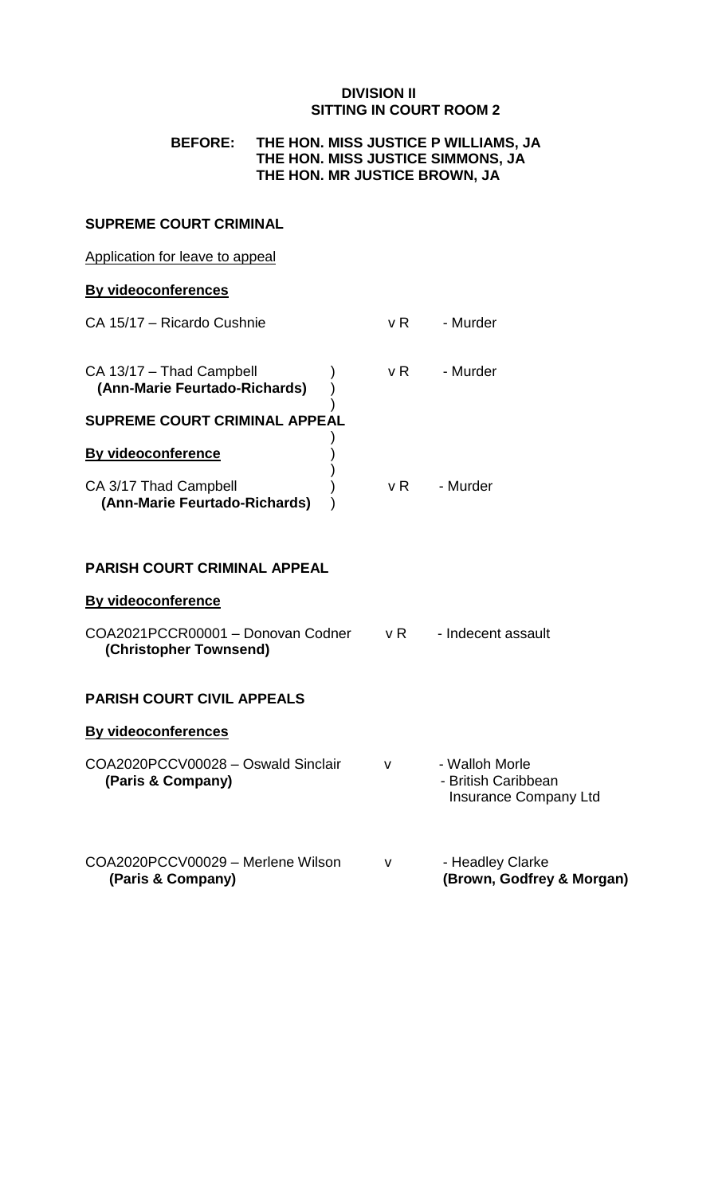### **DIVISION II SITTING IN COURT ROOM 2**

### **BEFORE: THE HON. MISS JUSTICE P WILLIAMS, JA THE HON. MISS JUSTICE SIMMONS, JA THE HON. MR JUSTICE BROWN, JA**

#### **SUPREME COURT CRIMINAL**

#### Application for leave to appeal

### **By videoconferences**

| CA 15/17 – Ricardo Cushnie                                | v R | - Murder |
|-----------------------------------------------------------|-----|----------|
| CA 13/17 - Thad Campbell<br>(Ann-Marie Feurtado-Richards) | v R | - Murder |
| <b>SUPREME COURT CRIMINAL APPEAL</b>                      |     |          |
| By videoconference                                        |     |          |
| CA 3/17 Thad Campbell<br>(Ann-Marie Feurtado-Richards)    | v R | - Murder |

## **PARISH COURT CRIMINAL APPEAL**

### **By videoconference**

| COA2021PCCR00001 - Donovan Codner | - Indecent assault |
|-----------------------------------|--------------------|
| (Christopher Townsend)            |                    |

## **PARISH COURT CIVIL APPEALS**

# **By videoconferences**

| COA2020PCCV00028 - Oswald Sinclair | v | - Walloh Morle        |
|------------------------------------|---|-----------------------|
| (Paris & Company)                  |   | - British Caribbean   |
|                                    |   | Insurance Company Ltd |

# COA2020PCCV00029 – Merlene Wilson v - Headley Clarke **(Paris & Company) (Brown, Godfrey & Morgan)**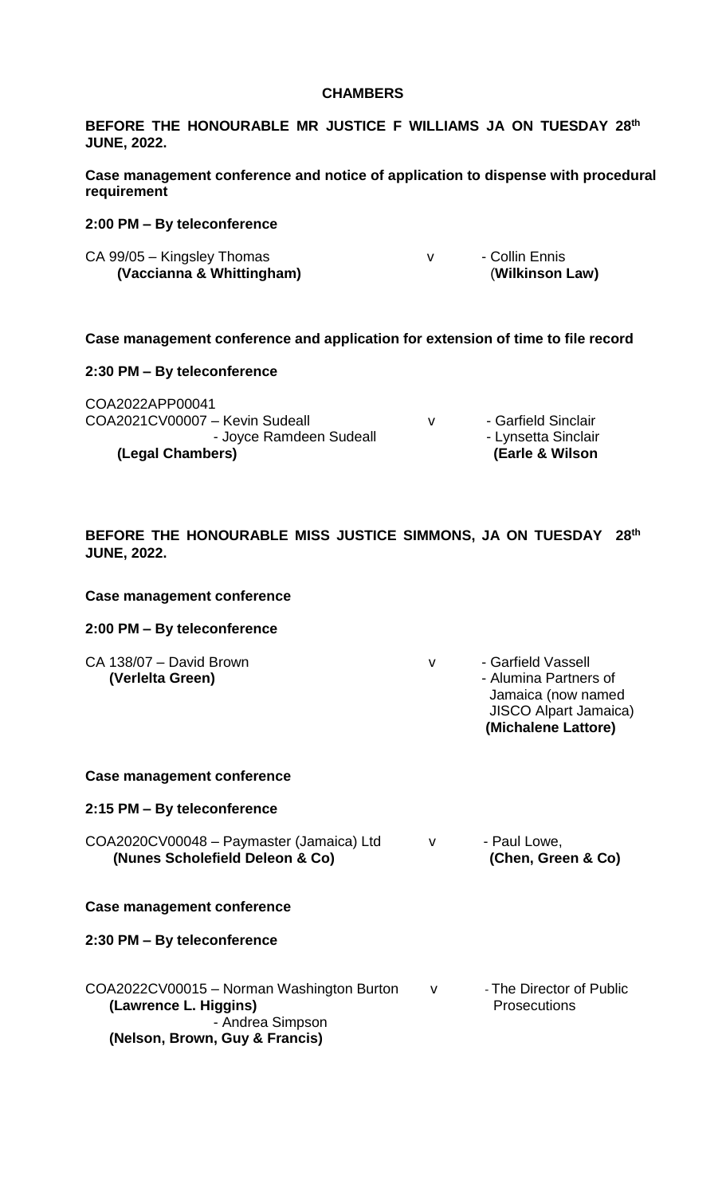#### **CHAMBERS**

**BEFORE THE HONOURABLE MR JUSTICE F WILLIAMS JA ON TUESDAY 28 th JUNE, 2022.**

**Case management conference and notice of application to dispense with procedural requirement**

#### **2:00 PM – By teleconference**

| CA 99/05 - Kingsley Thomas | - Collin Ennis  |
|----------------------------|-----------------|
| (Vaccianna & Whittingham)  | (Wilkinson Law) |

**Case management conference and application for extension of time to file record**

#### **2:30 PM – By teleconference**

| COA2022APP00041<br>COA2021CV00007 - Kevin Sudeall<br>- Joyce Ramdeen Sudeall<br>(Legal Chambers) | v | - Garfield Sinclair<br>- Lynsetta Sinclair<br>(Earle & Wilson) |
|--------------------------------------------------------------------------------------------------|---|----------------------------------------------------------------|
|--------------------------------------------------------------------------------------------------|---|----------------------------------------------------------------|

#### **BEFORE THE HONOURABLE MISS JUSTICE SIMMONS, JA ON TUESDAY 28 th JUNE, 2022.**

#### **Case management conference**

#### **2:00 PM – By teleconference**

| CA 138/07 - David Brown | - Garfield Vassell           |
|-------------------------|------------------------------|
| (Verleita Green)        | - Alumina Partners of        |
|                         | Jamaica (now named           |
|                         | <b>JISCO Alpart Jamaica)</b> |

 **(Michalene Lattore)**

#### **Case management conference**

#### **2:15 PM – By teleconference**

COA2020CV00048 – Paymaster (Jamaica) Ltd v - Paul Lowe,<br>
(Nunes Scholefield Deleon & Co) (Chen, Green & Co) **(Nunes Scholefield Deleon & Co)** 

#### **Case management conference**

#### **2:30 PM – By teleconference**

COA2022CV00015 – Norman Washington Burton v - The Director of Public **(Lawrence L. Higgins)** *Prosecutions*  - Andrea Simpson **(Nelson, Brown, Guy & Francis)**